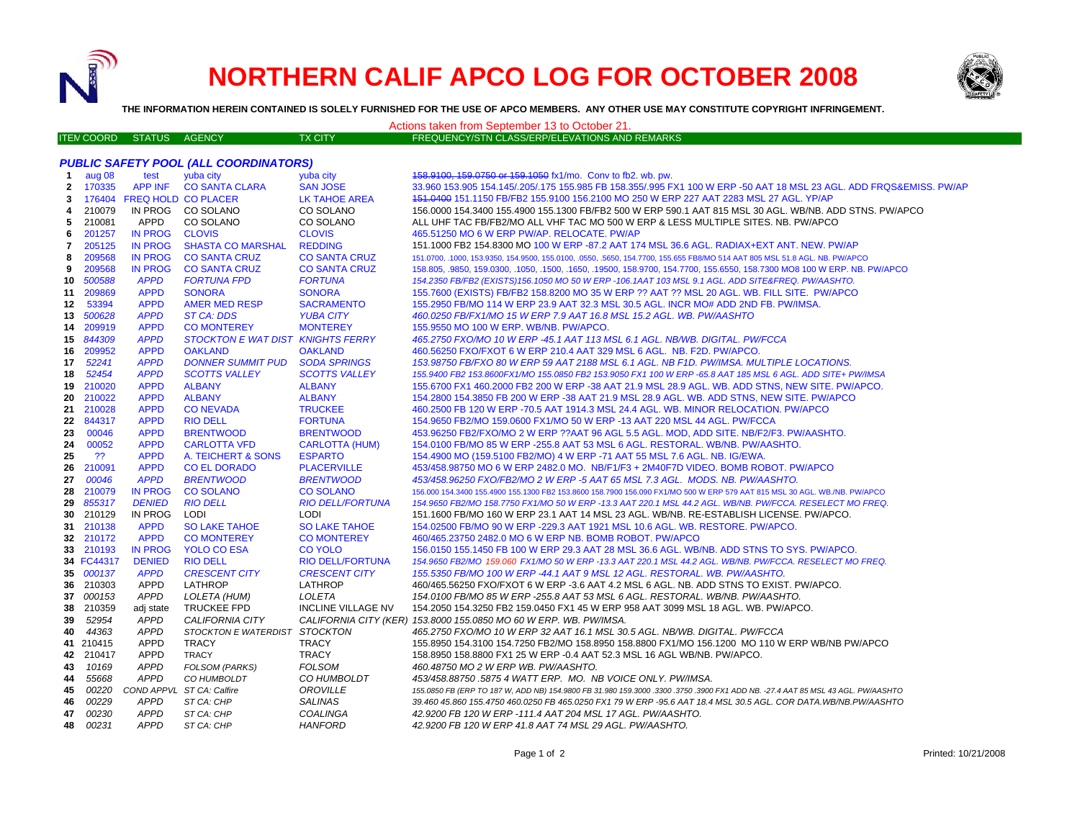

## **NORTHERN CALIF APCO LOG FOR OCTOBER 2008**



**THE INFORMATION HEREIN CONTAINED IS SOLELY FURNISHED FOR THE USE OF APCO MEMBERS. ANY OTHER USE MAY CONSTITUTE COPYRIGHT INFRINGEMENT.**

| Actions taken from September 13 to October 21. |                   |                            |                                              |                           |                                                                                                                                 |  |  |  |  |  |
|------------------------------------------------|-------------------|----------------------------|----------------------------------------------|---------------------------|---------------------------------------------------------------------------------------------------------------------------------|--|--|--|--|--|
|                                                | <b>ITEN COORD</b> | <b>STATUS</b>              | AGENCY                                       | TX CITY                   | FREQUENCY/STN CLASS/ERP/ELEVATIONS AND REMARKS                                                                                  |  |  |  |  |  |
|                                                |                   |                            |                                              |                           |                                                                                                                                 |  |  |  |  |  |
|                                                |                   |                            | <b>PUBLIC SAFETY POOL (ALL COORDINATORS)</b> |                           |                                                                                                                                 |  |  |  |  |  |
| -1                                             | aug 08            | test                       | yuba city                                    | yuba city                 | 158.9100, 159.0750 or 159.1050 fx1/mo. Conv to fb2. wb. pw.                                                                     |  |  |  |  |  |
| $\mathbf{2}$                                   | 170335            | APP INF                    | <b>CO SANTA CLARA</b>                        | <b>SAN JOSE</b>           | 33.960 153.905 154.145/.205/.175 155.985 FB 158.355/.995 FX1 100 W ERP -50 AAT 18 MSL 23 AGL. ADD FRQS&EMISS. PW/AP             |  |  |  |  |  |
| 3                                              |                   | 176404 FREQ HOLD CO PLACER |                                              | LK TAHOE AREA             | 151.0400 151.1150 FB/FB2 155.9100 156.2100 MO 250 W ERP 227 AAT 2283 MSL 27 AGL. YP/AP                                          |  |  |  |  |  |
| 4                                              | 210079            | IN PROG                    | CO SOLANO                                    | CO SOLANO                 | 156.0000 154.3400 155.4900 155.1300 FB/FB2 500 W ERP 590.1 AAT 815 MSL 30 AGL. WB/NB. ADD STNS. PW/APCO                         |  |  |  |  |  |
| 5                                              | 210081            | APPD                       | CO SOLANO                                    | CO SOLANO                 | ALL UHF TAC FB/FB2/MO ALL VHF TAC MO 500 W ERP & LESS MULTIPLE SITES. NB. PW/APCO                                               |  |  |  |  |  |
| 6                                              | 201257            | <b>IN PROG</b>             | <b>CLOVIS</b>                                | <b>CLOVIS</b>             | 465.51250 MO 6 W ERP PW/AP. RELOCATE. PW/AP                                                                                     |  |  |  |  |  |
| 7                                              | 205125            | <b>IN PROG</b>             | <b>SHASTA CO MARSHAL</b>                     | <b>REDDING</b>            | 151.1000 FB2 154.8300 MO 100 W ERP -87.2 AAT 174 MSL 36.6 AGL. RADIAX+EXT ANT. NEW. PW/AP                                       |  |  |  |  |  |
| 8                                              | 209568            | <b>IN PROG</b>             | <b>CO SANTA CRUZ</b>                         | <b>CO SANTA CRUZ</b>      | 151.0700, .1000, 153.9350, 154.9500, 155.0100, .0550, .5650, 154.7700, 155.655 FB8/MO 514 AAT 805 MSL 51.8 AGL. NB. PW/APCO     |  |  |  |  |  |
| 9                                              | 209568            | <b>IN PROG</b>             | <b>CO SANTA CRUZ</b>                         | <b>CO SANTA CRUZ</b>      | 158.805, .9850, 159.0300, .1050, .1500, .1650, .19500, 158.9700, 154.7700, 155.6550, 158.7300 MO8 100 W ERP. NB. PW/APCO        |  |  |  |  |  |
| 10                                             | 500588            | <b>APPD</b>                | <b>FORTUNA FPD</b>                           | <b>FORTUNA</b>            | 154.2350 FB/FB2 (EXISTS)156.1050 MO 50 W ERP -106.1AAT 103 MSL 9.1 AGL. ADD SITE&FREQ. PW/AASHTO.                               |  |  |  |  |  |
| 11                                             | 209869            | <b>APPD</b>                | <b>SONORA</b>                                | <b>SONORA</b>             | 155.7600 (EXISTS) FB/FB2 158.8200 MO 35 W ERP ?? AAT ?? MSL 20 AGL. WB. FILL SITE. PW/APCO                                      |  |  |  |  |  |
| 12                                             | 53394             | <b>APPD</b>                | <b>AMER MED RESP</b>                         | <b>SACRAMENTO</b>         | 155.2950 FB/MO 114 W ERP 23.9 AAT 32.3 MSL 30.5 AGL. INCR MO# ADD 2ND FB. PW/IMSA.                                              |  |  |  |  |  |
|                                                | 13 500628         | <b>APPD</b>                | <b>ST CA: DDS</b>                            | <b>YUBA CITY</b>          | 460.0250 FB/FX1/MO 15 W ERP 7.9 AAT 16.8 MSL 15.2 AGL. WB. PW/AASHTO                                                            |  |  |  |  |  |
| 14                                             | 209919            | <b>APPD</b>                | <b>CO MONTEREY</b>                           | <b>MONTEREY</b>           | 155.9550 MO 100 W ERP. WB/NB. PW/APCO.                                                                                          |  |  |  |  |  |
|                                                | 15 844309         | <b>APPD</b>                | STOCKTON E WAT DIST KNIGHTS FERRY            |                           | 465.2750 FXO/MO 10 W ERP -45.1 AAT 113 MSL 6.1 AGL. NB/WB. DIGITAL. PW/FCCA                                                     |  |  |  |  |  |
| 16                                             | 209952            | <b>APPD</b>                | <b>OAKLAND</b>                               | <b>OAKLAND</b>            | 460.56250 FXO/FXOT 6 W ERP 210.4 AAT 329 MSL 6 AGL. NB. F2D. PW/APCO.                                                           |  |  |  |  |  |
| 17                                             | 52241             | <b>APPD</b>                | <b>DONNER SUMMIT PUD</b>                     | <b>SODA SPRINGS</b>       | 153.98750 FB/FXO 80 W ERP 59 AAT 2188 MSL 6.1 AGL. NB F1D. PW/IMSA. MULTIPLE LOCATIONS.                                         |  |  |  |  |  |
| 18                                             | 52454             | <b>APPD</b>                | <b>SCOTTS VALLEY</b>                         | <b>SCOTTS VALLEY</b>      | 155.9400 FB2 153.8600FX1/MO 155.0850 FB2 153.9050 FX1 100 W ERP -65.8 AAT 185 MSL 6 AGL. ADD SITE+ PW/IMSA                      |  |  |  |  |  |
|                                                | 19 210020         | <b>APPD</b>                | <b>ALBANY</b>                                | <b>ALBANY</b>             | 155.6700 FX1 460.2000 FB2 200 W ERP -38 AAT 21.9 MSL 28.9 AGL. WB. ADD STNS, NEW SITE. PW/APCO.                                 |  |  |  |  |  |
|                                                | 20 210022         | <b>APPD</b>                | <b>ALBANY</b>                                | <b>ALBANY</b>             | 154.2800 154.3850 FB 200 W ERP -38 AAT 21.9 MSL 28.9 AGL. WB. ADD STNS, NEW SITE. PW/APCO                                       |  |  |  |  |  |
|                                                | 21 210028         | <b>APPD</b>                | <b>CO NEVADA</b>                             | <b>TRUCKEE</b>            | 460.2500 FB 120 W ERP -70.5 AAT 1914.3 MSL 24.4 AGL. WB. MINOR RELOCATION. PW/APCO                                              |  |  |  |  |  |
|                                                | 22 844317         | <b>APPD</b>                | <b>RIO DELL</b>                              | <b>FORTUNA</b>            | 154.9650 FB2/MO 159.0600 FX1/MO 50 W ERP -13 AAT 220 MSL 44 AGL. PW/FCCA                                                        |  |  |  |  |  |
| 23                                             | 00046             | <b>APPD</b>                | <b>BRENTWOOD</b>                             | <b>BRENTWOOD</b>          | 453.96250 FB2/FXO/MO 2 W ERP ??AAT 96 AGL 5.5 AGL. MOD, ADD SITE. NB/F2/F3. PW/AASHTO.                                          |  |  |  |  |  |
| 24                                             | 00052             | <b>APPD</b>                | <b>CARLOTTA VFD</b>                          | <b>CARLOTTA (HUM)</b>     | 154.0100 FB/MO 85 W ERP -255.8 AAT 53 MSL 6 AGL. RESTORAL. WB/NB. PW/AASHTO.                                                    |  |  |  |  |  |
| 25                                             | ??                | <b>APPD</b>                | A. TEICHERT & SONS                           | <b>ESPARTO</b>            | 154.4900 MO (159.5100 FB2/MO) 4 W ERP -71 AAT 55 MSL 7.6 AGL. NB. IG/EWA.                                                       |  |  |  |  |  |
|                                                | 26 210091         | <b>APPD</b>                | <b>CO EL DORADO</b>                          | <b>PLACERVILLE</b>        | 453/458.98750 MO 6 W ERP 2482.0 MO. NB/F1/F3 + 2M40F7D VIDEO. BOMB ROBOT. PW/APCO                                               |  |  |  |  |  |
| 27                                             | 00046             | <b>APPD</b>                | <b>BRENTWOOD</b>                             | <b>BRENTWOOD</b>          | 453/458.96250 FXO/FB2/MO 2 W ERP -5 AAT 65 MSL 7.3 AGL. MODS. NB. PW/AASHTO.                                                    |  |  |  |  |  |
| 28                                             | 210079            | <b>IN PROG</b>             | <b>CO SOLANO</b>                             | <b>CO SOLANO</b>          | 156.000 154.3400 155.4900 155.1300 FB2 153.8600 158.7900 156.090 FX1/MO 500 W ERP 579 AAT 815 MSL 30 AGL. WB./NB. PW/APCO       |  |  |  |  |  |
|                                                | 29 855317         | <b>DENIED</b>              | <b>RIO DELL</b>                              | <b>RIO DELL/FORTUNA</b>   | 154.9650 FB2/MO 158.7750 FX1/MO 50 W ERP -13.3 AAT 220.1 MSL 44.2 AGL. WB/NB. PW/FCCA. RESELECT MO FREQ.                        |  |  |  |  |  |
|                                                | 30 210129         | IN PROG                    | LODI                                         | <b>LODI</b>               | 151.1600 FB/MO 160 W ERP 23.1 AAT 14 MSL 23 AGL. WB/NB. RE-ESTABLISH LICENSE. PW/APCO.                                          |  |  |  |  |  |
| 31                                             | 210138            | <b>APPD</b>                | <b>SO LAKE TAHOE</b>                         | <b>SO LAKE TAHOE</b>      | 154.02500 FB/MO 90 W ERP -229.3 AAT 1921 MSL 10.6 AGL. WB. RESTORE. PW/APCO.                                                    |  |  |  |  |  |
|                                                | 32 210172         | <b>APPD</b>                | <b>CO MONTEREY</b>                           | <b>CO MONTEREY</b>        | 460/465.23750 2482.0 MO 6 W ERP NB. BOMB ROBOT. PW/APCO                                                                         |  |  |  |  |  |
|                                                | 33 210193         | <b>IN PROG</b>             | YOLO CO ESA                                  | <b>CO YOLO</b>            | 156.0150 155.1450 FB 100 W ERP 29.3 AAT 28 MSL 36.6 AGL. WB/NB. ADD STNS TO SYS. PW/APCO.                                       |  |  |  |  |  |
|                                                | 34 FC44317        | <b>DENIED</b>              | <b>RIO DELL</b>                              | <b>RIO DELL/FORTUNA</b>   | 154.9650 FB2/MO 159.060 FX1/MO 50 W ERP -13.3 AAT 220.1 MSL 44.2 AGL. WB/NB. PW/FCCA. RESELECT MO FREQ.                         |  |  |  |  |  |
|                                                | 35 000137         | <b>APPD</b>                | <b>CRESCENT CITY</b>                         | <b>CRESCENT CITY</b>      | 155.5350 FB/MO 100 W ERP -44.1 AAT 9 MSL 12 AGL. RESTORAL. WB. PW/AASHTO.                                                       |  |  |  |  |  |
|                                                | 36 210303         | <b>APPD</b>                | LATHROP                                      | <b>LATHROP</b>            | 460/465.56250 FXO/FXOT 6 W ERP -3.6 AAT 4.2 MSL 6 AGL. NB. ADD STNS TO EXIST. PW/APCO.                                          |  |  |  |  |  |
|                                                | 37 000153         | <b>APPD</b>                | <b>LOLETA (HUM)</b>                          | LOLETA                    | 154.0100 FB/MO 85 W ERP -255.8 AAT 53 MSL 6 AGL. RESTORAL. WB/NB. PW/AASHTO.                                                    |  |  |  |  |  |
| 38                                             | 210359            | adj state                  | <b>TRUCKEE FPD</b>                           | <b>INCLINE VILLAGE NV</b> | 154.2050 154.3250 FB2 159.0450 FX1 45 W ERP 958 AAT 3099 MSL 18 AGL. WB. PW/APCO.                                               |  |  |  |  |  |
| 39                                             | 52954             | <b>APPD</b>                | CALIFORNIA CITY                              |                           | CALIFORNIA CITY (KER) 153.8000 155.0850 MO 60 W ERP. WB. PW/IMSA.                                                               |  |  |  |  |  |
| 40                                             | 44363             | <b>APPD</b>                | STOCKTON E WATERDIST STOCKTON                |                           | 465.2750 FXO/MO 10 W ERP 32 AAT 16.1 MSL 30.5 AGL. NB/WB. DIGITAL. PW/FCCA                                                      |  |  |  |  |  |
|                                                | 41 210415         | <b>APPD</b>                | <b>TRACY</b>                                 | <b>TRACY</b>              | 155.8950 154.3100 154.7250 FB2/MO 158.8950 158.8800 FX1/MO 156.1200 MO 110 W ERP WB/NB PW/APCO                                  |  |  |  |  |  |
|                                                | 42 210417         | <b>APPD</b>                | <b>TRACY</b>                                 | <b>TRACY</b>              | 158.8950 158.8800 FX1 25 W ERP -0.4 AAT 52.3 MSL 16 AGL WB/NB. PW/APCO.                                                         |  |  |  |  |  |
| 43                                             | 10169             | <b>APPD</b>                | <b>FOLSOM (PARKS)</b>                        | <b>FOLSOM</b>             | 460.48750 MO 2 W ERP WB. PW/AASHTO.                                                                                             |  |  |  |  |  |
| 44                                             | 55668             | <b>APPD</b>                | CO HUMBOLDT                                  | CO HUMBOLDT               | 453/458.88750.5875 4 WATT ERP. MO. NB VOICE ONLY. PW/IMSA.                                                                      |  |  |  |  |  |
| 45                                             | 00220             |                            | COND APPVL ST CA: Calfire                    | OROVILLE                  | 155.0850 FB (ERP TO 187 W, ADD NB) 154.9800 FB 31.980 159.3000 .3300 .3750 .3900 FX1 ADD NB. -27.4 AAT 85 MSL 43 AGL. PW/AASHTO |  |  |  |  |  |
| 46                                             | 00229<br>00230    | <b>APPD</b><br><b>APPD</b> | ST CA: CHP                                   | <b>SALINAS</b>            | 39.460 45.860 155.4750 460.0250 FB 465.0250 FX1 79 W ERP -95.6 AAT 18.4 MSL 30.5 AGL. COR DATA.WB/NB.PW/AASHTO                  |  |  |  |  |  |
| 47                                             |                   | <b>APPD</b>                | ST CA: CHP                                   | <b>COALINGA</b>           | 42.9200 FB 120 W ERP -111.4 AAT 204 MSL 17 AGL. PW/AASHTO.                                                                      |  |  |  |  |  |
| 48                                             | 00231             |                            | ST CA: CHP                                   | <b>HANFORD</b>            | 42.9200 FB 120 W ERP 41.8 AAT 74 MSL 29 AGL. PW/AASHTO.                                                                         |  |  |  |  |  |